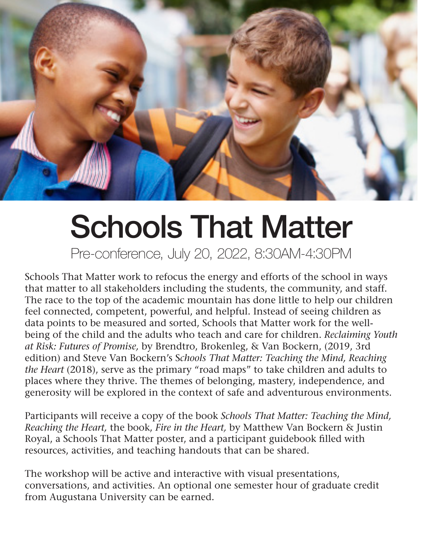

## Schools That Matter

Pre-conference, July 20, 2022, 8:30AM-4:30PM

Schools That Matter work to refocus the energy and efforts of the school in ways that matter to all stakeholders including the students, the community, and staff. The race to the top of the academic mountain has done little to help our children feel connected, competent, powerful, and helpful. Instead of seeing children as data points to be measured and sorted, Schools that Matter work for the wellbeing of the child and the adults who teach and care for children. *Reclaiming Youth at Risk: Futures of Promise,* by Brendtro, Brokenleg, & Van Bockern, (2019, 3rd edition) and Steve Van Bockern's S*chools That Matter: Teaching the Mind, Reaching the Heart* (2018), serve as the primary "road maps" to take children and adults to places where they thrive. The themes of belonging, mastery, independence, and generosity will be explored in the context of safe and adventurous environments.

Participants will receive a copy of the book *Schools That Matter: Teaching the Mind, Reaching the Heart,* the book, *Fire in the Heart,* by Matthew Van Bockern & Justin Royal, a Schools That Matter poster, and a participant guidebook filled with resources, activities, and teaching handouts that can be shared.

The workshop will be active and interactive with visual presentations, conversations, and activities. An optional one semester hour of graduate credit from Augustana University can be earned.